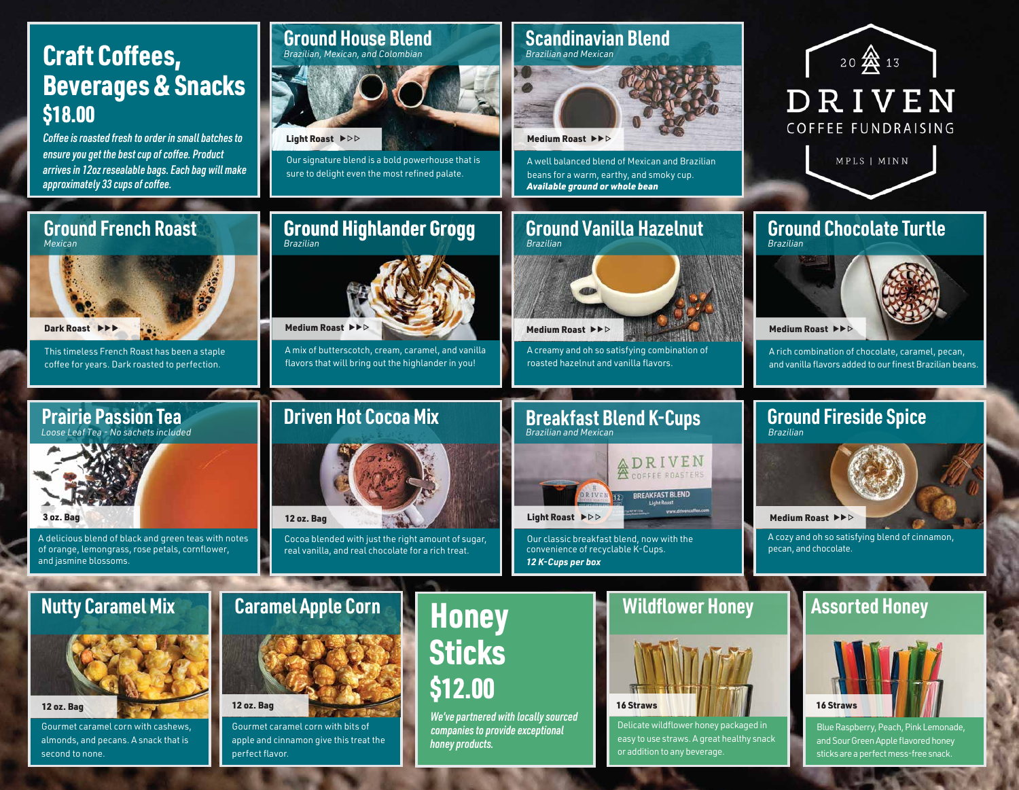